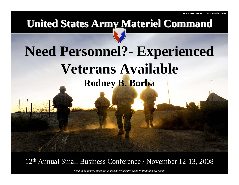## **United States Army Materiel Command United States Army Materiel Command**

## **Need Personnel?- Experienced Veterans Available Rodney B. Borba**

### 12t<sup>h</sup> Annual Small Business Conference / November 12-13, 2008

*Need to be faster, more agile, less bureaucratic-Need to fight this everyday!*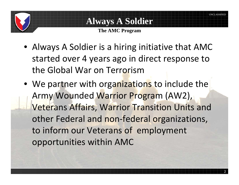### **Always A Soldier**

**The AMC Program**

- Always A Soldier is <sup>a</sup> hiring initiative that AMC started over 4 years ago in direct response to the Global War on Terrorism
- We partner with organizations to include the Army Wounded Warrior Program (AW2), Veterans Affairs, Warrior Transition Units and other Federal and non-federal organizations, to inform our Veterans of employment opportunities within AMC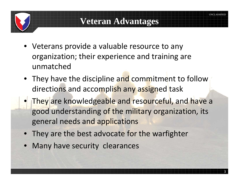### **Veteran Advantages**

- Veterans provide a valuable resource to any organization; their experience and training are unmatched
- They have the discipline and commitment to follow directions and accomplish any assigned task
- •**• They are knowledgeable and resourceful, and have a** good understanding of the military organization, its general needs and applications
- They are the best advocate for the warfighter
- •Many have security clearances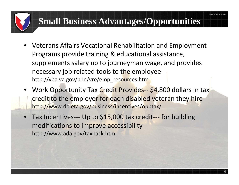### **Small Business Advantages/Opportunities**

- • Veterans Affairs Vocational Rehabilitation and Employment Programs provide training & educational assistance, supplements salary up to journeyman wage, and provides necessary job related tools to the employee http://vba.va.gov/b1n/vre/emp\_resources.htm
- Work Opportunity Tax Credit Provides-- \$4,800 dollars in tax credit to the employer for each disabled veteran they hire http;//www.doleta.gov/business/incentives/opptax/
- •● Tax Incentives--- Up to \$15,000 tax credit--- for building modifications to improve accessibility http://www.ada.gov/taxpack.htm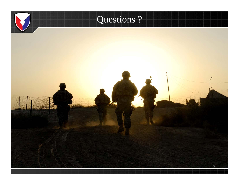